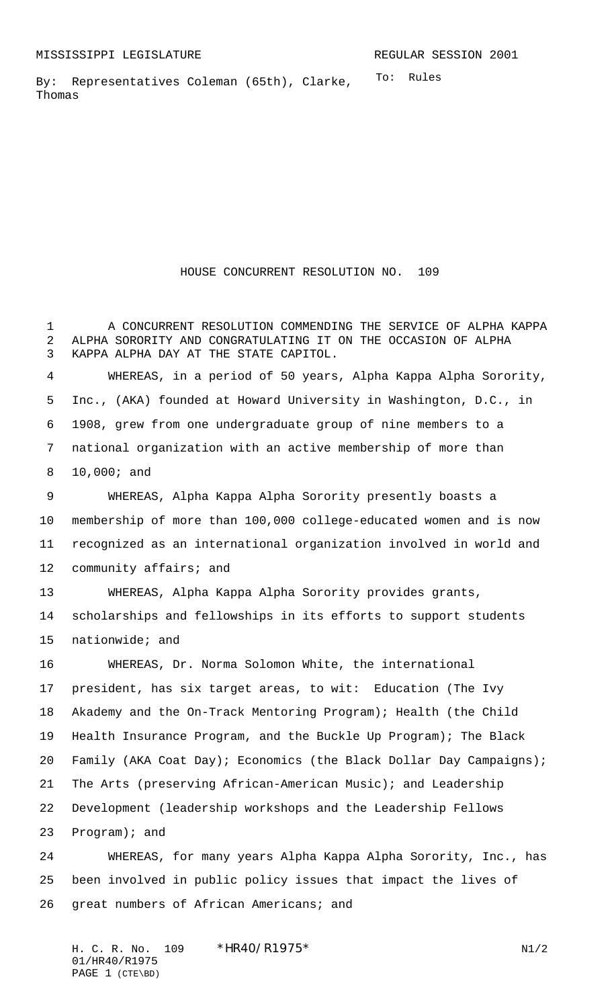To: Rules By: Representatives Coleman (65th), Clarke, Thomas

HOUSE CONCURRENT RESOLUTION NO. 109

 A CONCURRENT RESOLUTION COMMENDING THE SERVICE OF ALPHA KAPPA ALPHA SORORITY AND CONGRATULATING IT ON THE OCCASION OF ALPHA KAPPA ALPHA DAY AT THE STATE CAPITOL.

 WHEREAS, in a period of 50 years, Alpha Kappa Alpha Sorority, Inc., (AKA) founded at Howard University in Washington, D.C., in 1908, grew from one undergraduate group of nine members to a national organization with an active membership of more than 10,000; and

 WHEREAS, Alpha Kappa Alpha Sorority presently boasts a membership of more than 100,000 college-educated women and is now recognized as an international organization involved in world and community affairs; and

 WHEREAS, Alpha Kappa Alpha Sorority provides grants, scholarships and fellowships in its efforts to support students nationwide; and

 WHEREAS, Dr. Norma Solomon White, the international president, has six target areas, to wit: Education (The Ivy Akademy and the On-Track Mentoring Program); Health (the Child Health Insurance Program, and the Buckle Up Program); The Black Family (AKA Coat Day); Economics (the Black Dollar Day Campaigns); The Arts (preserving African-American Music); and Leadership Development (leadership workshops and the Leadership Fellows Program); and

 WHEREAS, for many years Alpha Kappa Alpha Sorority, Inc., has been involved in public policy issues that impact the lives of great numbers of African Americans; and

H. C. R. No.  $109 \times HR40/RT975^*$  N1/2 01/HR40/R1975 PAGE 1 (CTE\BD)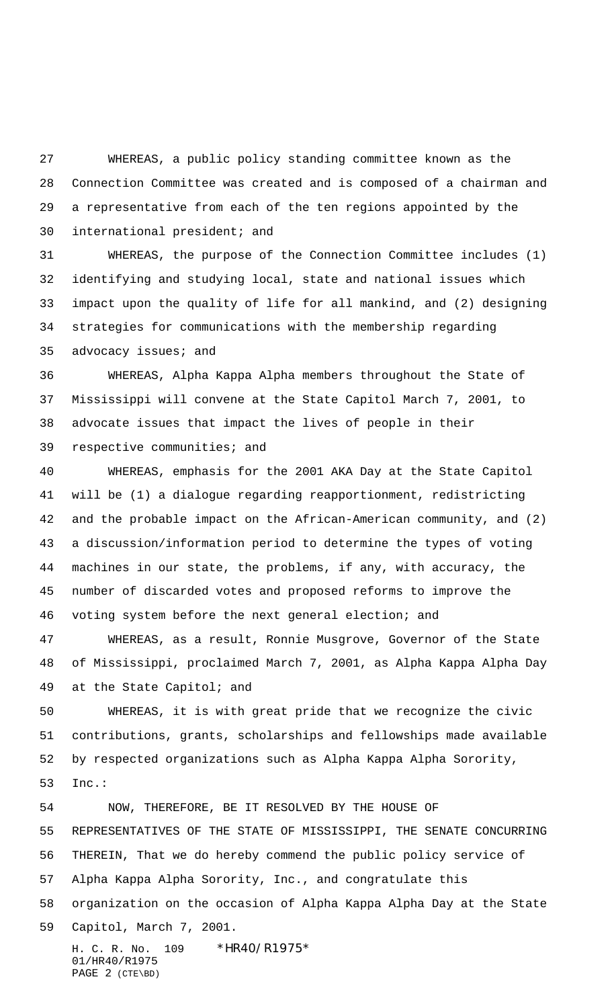WHEREAS, a public policy standing committee known as the Connection Committee was created and is composed of a chairman and a representative from each of the ten regions appointed by the international president; and

 WHEREAS, the purpose of the Connection Committee includes (1) identifying and studying local, state and national issues which impact upon the quality of life for all mankind, and (2) designing strategies for communications with the membership regarding advocacy issues; and

 WHEREAS, Alpha Kappa Alpha members throughout the State of Mississippi will convene at the State Capitol March 7, 2001, to advocate issues that impact the lives of people in their respective communities; and

 WHEREAS, emphasis for the 2001 AKA Day at the State Capitol will be (1) a dialogue regarding reapportionment, redistricting and the probable impact on the African-American community, and (2) a discussion/information period to determine the types of voting machines in our state, the problems, if any, with accuracy, the number of discarded votes and proposed reforms to improve the voting system before the next general election; and

 WHEREAS, as a result, Ronnie Musgrove, Governor of the State of Mississippi, proclaimed March 7, 2001, as Alpha Kappa Alpha Day at the State Capitol; and

 WHEREAS, it is with great pride that we recognize the civic contributions, grants, scholarships and fellowships made available by respected organizations such as Alpha Kappa Alpha Sorority, Inc.:

H. C. R. No. 109 \*HR40/R1975\* NOW, THEREFORE, BE IT RESOLVED BY THE HOUSE OF REPRESENTATIVES OF THE STATE OF MISSISSIPPI, THE SENATE CONCURRING THEREIN, That we do hereby commend the public policy service of Alpha Kappa Alpha Sorority, Inc., and congratulate this organization on the occasion of Alpha Kappa Alpha Day at the State Capitol, March 7, 2001.

01/HR40/R1975 PAGE 2 (CTE\BD)